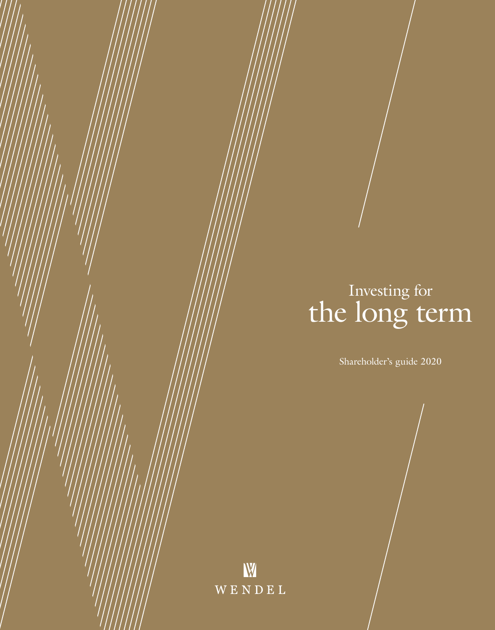# Investing for the long term

Shareholder's guide 2020

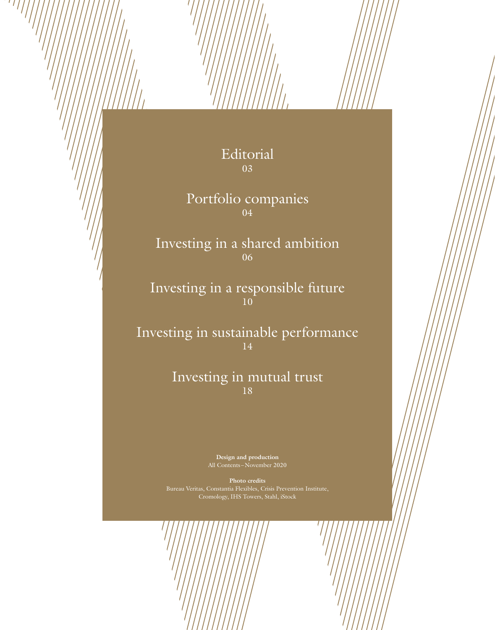## Editorial 03

 $^{\prime}$   $^{\prime}$ 

Portfolio companies 04

Investing in a shared ambition 06

Investing in a responsible future 10

Investing in sustainable performance 14

### Investing in mutual trust 18

**Design and production** All Contents –November 2020

**Photo credits**  Cromology, IHS Towers, Stahl, iStock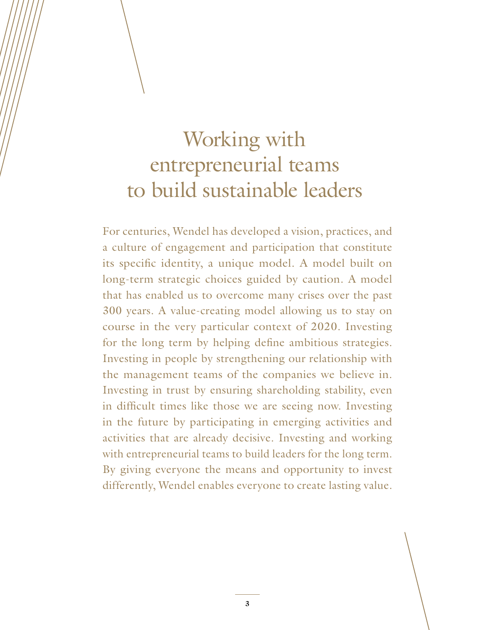# Working with entrepreneurial teams to build sustainable leaders

For centuries, Wendel has developed a vision, practices, and a culture of engagement and participation that constitute its specific identity, a unique model. A model built on long-term strategic choices guided by caution. A model that has enabled us to overcome many crises over the past 300 years. A value-creating model allowing us to stay on course in the very particular context of 2020. Investing for the long term by helping define ambitious strategies. Investing in people by strengthening our relationship with the management teams of the companies we believe in. Investing in trust by ensuring shareholding stability, even in difficult times like those we are seeing now. Investing in the future by participating in emerging activities and activities that are already decisive. Investing and working with entrepreneurial teams to build leaders for the long term. By giving everyone the means and opportunity to invest differently, Wendel enables everyone to create lasting value.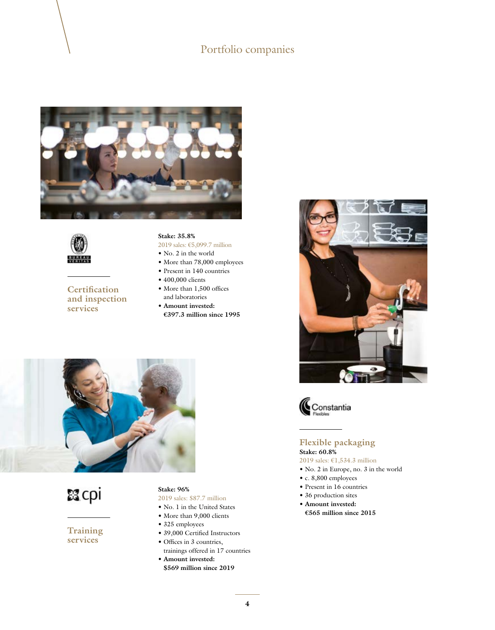### Portfolio companies





**Certification and inspection services**

#### **Stake: 35.8%**

2019 sales: €5,099.7 million

- No. 2 in the world
- More than 78,000 employees
- Present in 140 countries
- 400,000 clients
- More than 1,500 offices and laboratories
- **Amount invested: €397.3 million since 1995**



認cpi

**Training services**

#### **Stake: 96%**

- 2019 sales: \$87.7 million
- No. 1 in the United States
- More than 9,000 clients
- 325 employees
- 39,000 Certified Instructors
- Offices in 3 countries, trainings offered in 17 countries
- **Amount invested: \$569 million since 2019**





#### **Flexible packaging Stake: 60.8%**

2019 sales: €1,534.3 million

- No. 2 in Europe, no. 3 in the world
- c. 8,800 employees
- Present in 16 countries
- 36 production sites
- **Amount invested: €565 million since 2015**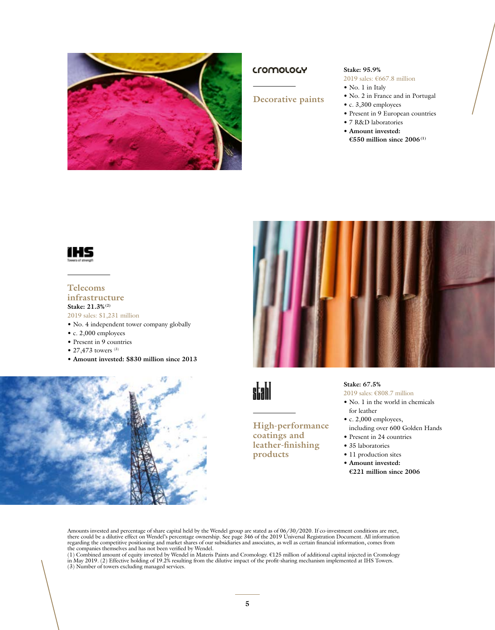

#### **Cromology**

#### **Decorative paints**

• No. 1 in Italy • No. 2 in France and in Portugal

**Stake: 95.9%**

- c. 3,300 employees
- Present in 9 European countries
- 7 R&D laboratories
- **Amount invested:**

2019 sales: €667.8 million

**€550 million since 2006(1)**



#### **Telecoms infrastructure Stake: 21.3%(2)**

- 2019 sales: \$1,231 million
- No. 4 independent tower company globally
- c. 2,000 employees
- Present in 9 countries
- 27,473 towers  $(3)$
- **Amount invested: \$830 million since 2013**





# stahl

#### **High-performance coatings and leather-finishing products**

## **Stake: 67.5%**

- 2019 sales: €808.7 million • No. 1 in the world in chemicals
- for leather
- c. 2,000 employees, including over 600 Golden Hands
- Present in 24 countries
- 35 laboratories
- 11 production sites
- **Amount invested:**
- **€221 million since 2006**

Amounts invested and percentage of share capital held by the Wendel group are stated as of 06/30/2020. If co-investment conditions are met, there could be a dilutive effect on Wendel's percentage ownership. See page 346 of

(3) Number of towers excluding managed services.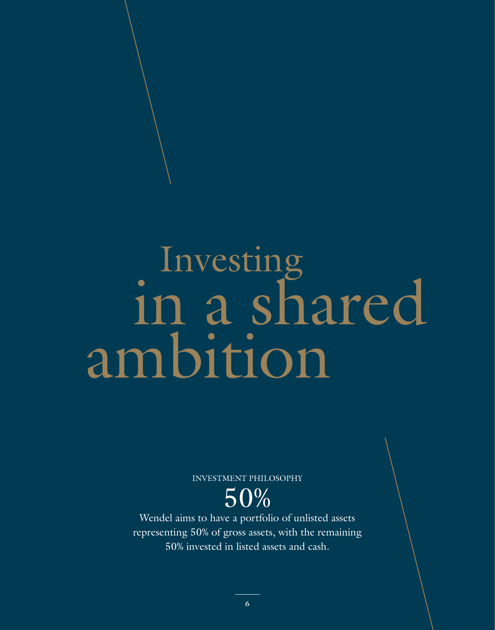# **Investing** in a shared ambition

INVESTMENT PHILOSOPHY

50%

Wendel aims to have a portfolio of unlisted assets representing 50% of gross assets, with the remaining 50% invested in listed assets and cash.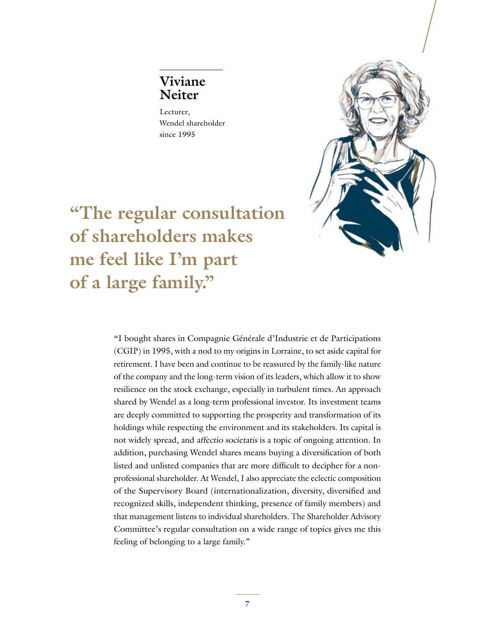## **Viviane Neiter**

Lecturer, Wendel shareholder since 1995



**"The regular consultation of shareholders makes me feel like I'm part of a large family."**

> "I bought shares in Compagnie Générale d'Industrie et de Participations (CGIP) in 1995, with a nod to my origins in Lorraine, to set aside capital for retirement. I have been and continue to be reassured by the family-like nature of the company and the long-term vision of its leaders, which allow it to show resilience on the stock exchange, especially in turbulent times. An approach shared by Wendel as a long-term professional investor. Its investment teams are deeply committed to supporting the prosperity and transformation of its holdings while respecting the environment and its stakeholders. Its capital is not widely spread, and affectio societatis is a topic of ongoing attention. In addition, purchasing Wendel shares means buying a diversification of both listed and unlisted companies that are more difficult to decipher for a nonprofessional shareholder. At Wendel, I also appreciate the eclectic composition of the Supervisory Board (internationalization, diversity, diversified and recognized skills, independent thinking, presence of family members) and that management listens to individual shareholders. The Shareholder Advisory Committee's regular consultation on a wide range of topics gives me this feeling of belonging to a large family."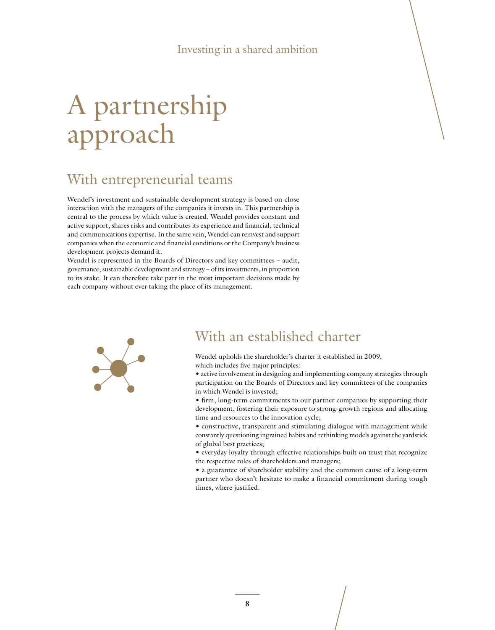# A partnership approach

# With entrepreneurial teams

Wendel's investment and sustainable development strategy is based on close interaction with the managers of the companies it invests in. This partnership is central to the process by which value is created. Wendel provides constant and active support, shares risks and contributes its experience and financial, technical and communications expertise. In the same vein, Wendel can reinvest and support companies when the economic and financial conditions or the Company's business development projects demand it.

Wendel is represented in the Boards of Directors and key committees – audit, governance, sustainable development and strategy – of its investments, in proportion to its stake. It can therefore take part in the most important decisions made by each company without ever taking the place of its management.



## With an established charter

Wendel upholds the shareholder's charter it established in 2009,

which includes five major principles:

• active involvement in designing and implementing company strategies through participation on the Boards of Directors and key committees of the companies in which Wendel is invested;

• firm, long-term commitments to our partner companies by supporting their development, fostering their exposure to strong-growth regions and allocating time and resources to the innovation cycle;

• constructive, transparent and stimulating dialogue with management while constantly questioning ingrained habits and rethinking models against the yardstick of global best practices;

• everyday loyalty through effective relationships built on trust that recognize the respective roles of shareholders and managers;

• a guarantee of shareholder stability and the common cause of a long-term partner who doesn't hesitate to make a financial commitment during tough times, where justified.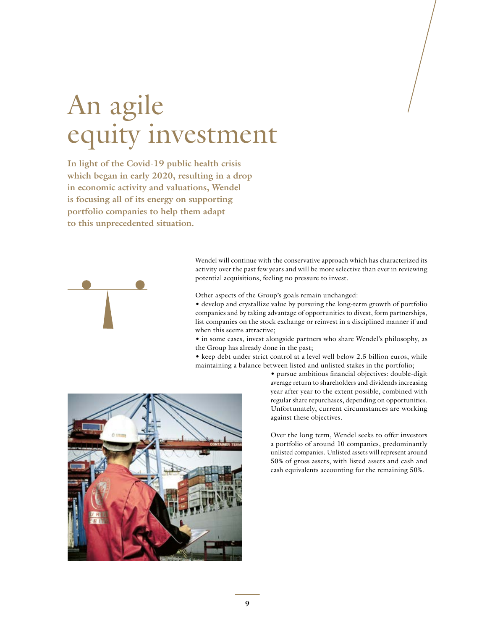# An agile equity investment

**In light of the Covid-19 public health crisis which began in early 2020, resulting in a drop in economic activity and valuations, Wendel is focusing all of its energy on supporting portfolio companies to help them adapt to this unprecedented situation.**



Wendel will continue with the conservative approach which has characterized its activity over the past few years and will be more selective than ever in reviewing potential acquisitions, feeling no pressure to invest.

Other aspects of the Group's goals remain unchanged:

• develop and crystallize value by pursuing the long-term growth of portfolio companies and by taking advantage of opportunities to divest, form partnerships, list companies on the stock exchange or reinvest in a disciplined manner if and when this seems attractive;

- in some cases, invest alongside partners who share Wendel's philosophy, as the Group has already done in the past;
- keep debt under strict control at a level well below 2.5 billion euros, while maintaining a balance between listed and unlisted stakes in the portfolio;



• pursue ambitious financial objectives: double-digit average return to shareholders and dividends increasing year after year to the extent possible, combined with regular share repurchases, depending on opportunities. Unfortunately, current circumstances are working against these objectives.

Over the long term, Wendel seeks to offer investors a portfolio of around 10 companies, predominantly unlisted companies. Unlisted assets will represent around 50% of gross assets, with listed assets and cash and cash equivalents accounting for the remaining 50%.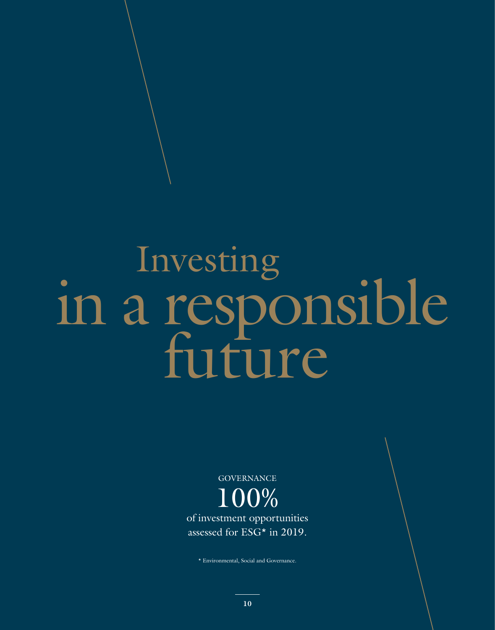# Investing in a responsible

**GOVERNANCE** 100% of investment opportunities assessed for ESG\* in 2019.

\* Environmental, Social and Governance.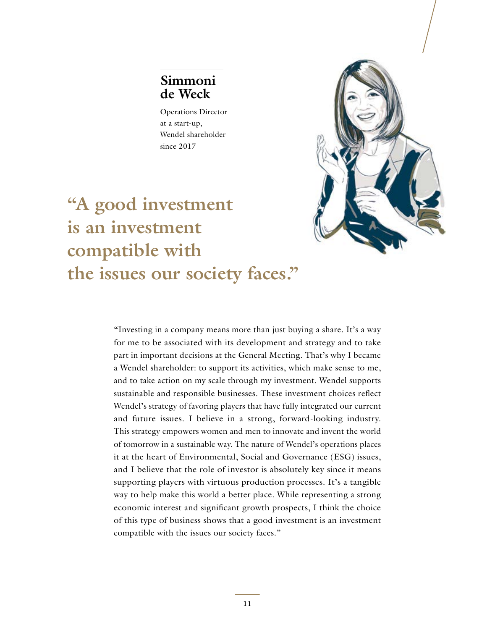## **Simmoni de Weck**

Operations Director at a start-up, Wendel shareholder since 2017



# **"A good investment is an investment compatible with the issues our society faces."**

"Investing in a company means more than just buying a share. It's a way for me to be associated with its development and strategy and to take part in important decisions at the General Meeting. That's why I became a Wendel shareholder: to support its activities, which make sense to me, and to take action on my scale through my investment. Wendel supports sustainable and responsible businesses. These investment choices reflect Wendel's strategy of favoring players that have fully integrated our current and future issues. I believe in a strong, forward-looking industry. This strategy empowers women and men to innovate and invent the world of tomorrow in a sustainable way. The nature of Wendel's operations places it at the heart of Environmental, Social and Governance (ESG) issues, and I believe that the role of investor is absolutely key since it means supporting players with virtuous production processes. It's a tangible way to help make this world a better place. While representing a strong economic interest and significant growth prospects, I think the choice of this type of business shows that a good investment is an investment compatible with the issues our society faces."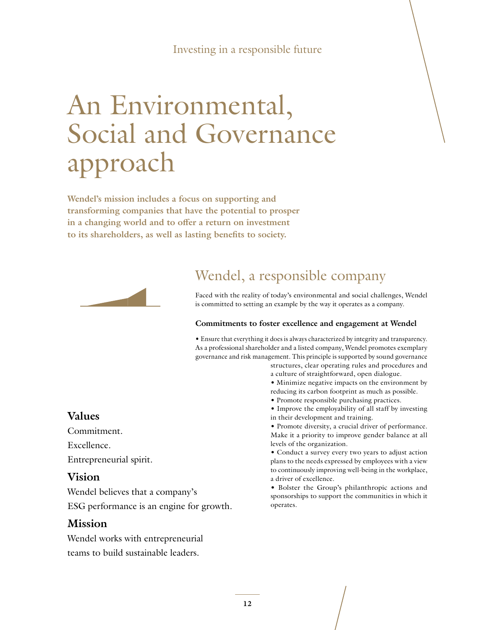#### Investing in a responsible future

# An Environmental, Social and Governance approach

**Wendel's mission includes a focus on supporting and transforming companies that have the potential to prosper in a changing world and to offer a return on investment to its shareholders, as well as lasting benefits to society.**



## Wendel, a responsible company

Faced with the reality of today's environmental and social challenges, Wendel is committed to setting an example by the way it operates as a company.

#### **Commitments to foster excellence and engagement at Wendel**

• Ensure that everything it does is always characterized by integrity and transparency. As a professional shareholder and a listed company, Wendel promotes exemplary governance and risk management. This principle is supported by sound governance

- structures, clear operating rules and procedures and a culture of straightforward, open dialogue.
- Minimize negative impacts on the environment by reducing its carbon footprint as much as possible.
- Promote responsible purchasing practices.
- Improve the employability of all staff by investing in their development and training.
- Promote diversity, a crucial driver of performance. Make it a priority to improve gender balance at all levels of the organization.
- Conduct a survey every two years to adjust action plans to the needs expressed by employees with a view to continuously improving well-being in the workplace, a driver of excellence.
- Bolster the Group's philanthropic actions and sponsorships to support the communities in which it operates.

#### **Values**

Commitment.

Excellence.

Entrepreneurial spirit.

#### **Vision**

Wendel believes that a company's ESG performance is an engine for growth.

#### **Mission**

Wendel works with entrepreneurial teams to build sustainable leaders.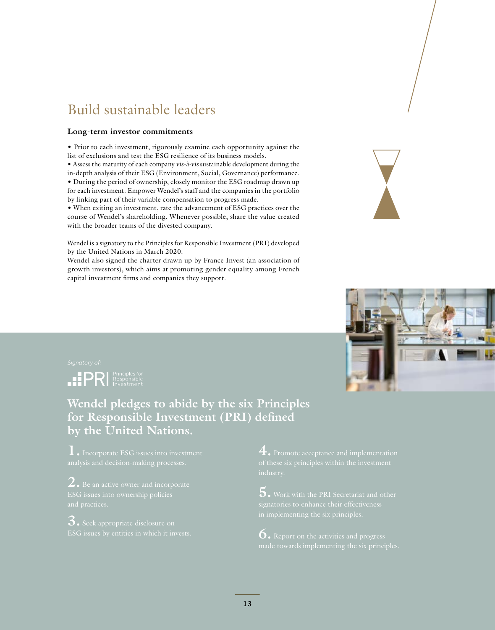# Build sustainable leaders

#### **Long-term investor commitments**

• Prior to each investment, rigorously examine each opportunity against the list of exclusions and test the ESG resilience of its business models.

• Assess the maturity of each company vis-à-vis sustainable development during the in-depth analysis of their ESG (Environment, Social, Governance) performance. • During the period of ownership, closely monitor the ESG roadmap drawn up for each investment. Empower Wendel's staff and the companies in the portfolio by linking part of their variable compensation to progress made.

• When exiting an investment, rate the advancement of ESG practices over the course of Wendel's shareholding. Whenever possible, share the value created with the broader teams of the divested company.

Wendel is a signatory to the Principles for Responsible Investment (PRI) developed by the United Nations in March 2020.

Wendel also signed the charter drawn up by France Invest (an association of growth investors), which aims at promoting gender equality among French capital investment firms and companies they support.



**IPRI** Responsible

### **Wendel pledges to abide by the six Principles for Responsible Investment (PRI) defined by the United Nations.**

**1.** Incorporate ESG issues into investment analysis and decision-making processes.

**2.** Be an active owner and incorporate

**3.** Seek appropriate disclosure on

**4.** Promote acceptance and implementation

**5.** Work with the PRI Secretariat and other

**6.** Report on the activities and progress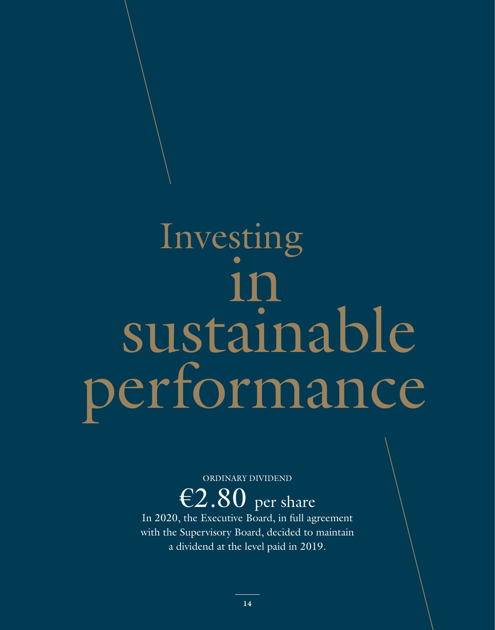# Investing in sustainable performance

ORDINARY DIVIDEND

 $\overline{E2.80}$  per share

In 2020, the Executive Board, in full agreement with the Supervisory Board, decided to maintain a dividend at the level paid in 2019.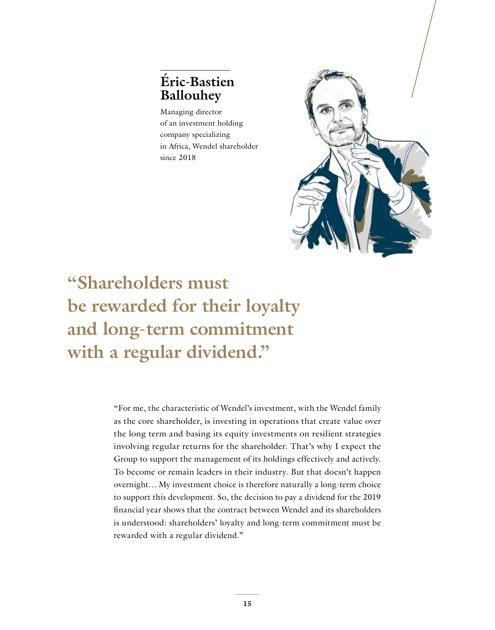## **Éric-Bastien Ballouhey**

Managing director of an investment holding company specializing in Africa, Wendel shareholder since 2018



**"Shareholders must be rewarded for their loyalty and long-term commitment with a regular dividend."**

> "For me, the characteristic of Wendel's investment, with the Wendel family as the core shareholder, is investing in operations that create value over the long term and basing its equity investments on resilient strategies involving regular returns for the shareholder. That's why I expect the Group to support the management of its holdings effectively and actively. To become or remain leaders in their industry. But that doesn't happen overnight… My investment choice is therefore naturally a long-term choice to support this development. So, the decision to pay a dividend for the 2019 financial year shows that the contract between Wendel and its shareholders is understood: shareholders' loyalty and long-term commitment must be rewarded with a regular dividend."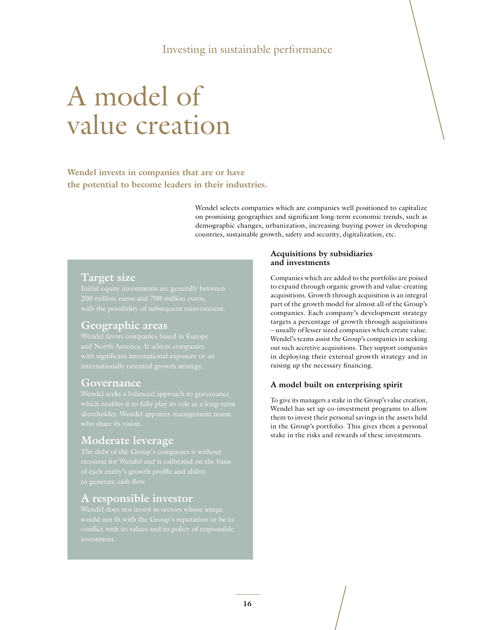#### Investing in sustainable performance

# A model of value creation

**Wendel invests in companies that are or have the potential to become leaders in their industries.**

> Wendel selects companies which are companies well positioned to capitalize on promising geographies and significant long-term economic trends, such as demographic changes, urbanization, increasing buying power in developing countries, sustainable growth, safety and security, digitalization, etc.

#### **Target size**

#### **Geographic areas**

#### **Governance**

#### **Moderate leverage**

#### **A responsible investor**

#### **Acquisitions by subsidiaries and investments**

Companies which are added to the portfolio are poised to expand through organic growth and value-creating acquisitions. Growth through acquisition is an integral part of the growth model for almost all of the Group's companies. Each company's development strategy targets a percentage of growth through acquisitions – usually of lesser sized companies which create value. Wendel's teams assist the Group's companies in seeking out such accretive acquisitions. They support companies in deploying their external growth strategy and in raising up the necessary financing.

#### **A model built on enterprising spirit**

To give its managers a stake in the Group's value creation, Wendel has set up co-investment programs to allow them to invest their personal savings in the assets held in the Group's portfolio. This gives them a personal stake in the risks and rewards of these investments.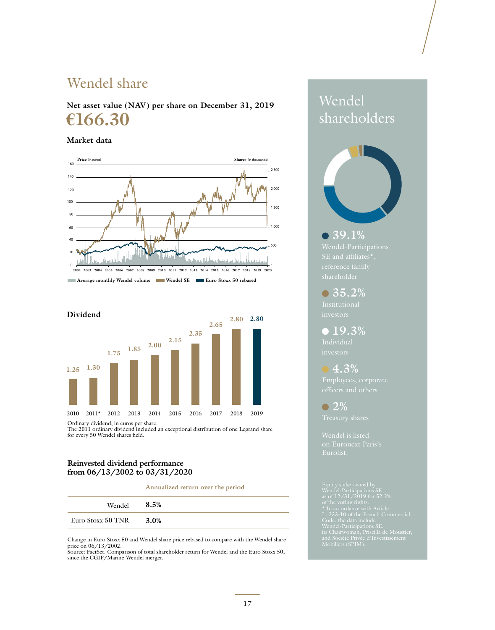# Wendel share

**Net asset value (NAV) per share on December 31, 2019 €166.30**

#### **Market data**





The 2011 ordinary dividend included an exceptional distribution of one Legrand share for every 50 Wendel shares held.

#### **Reinvested dividend performance from 06/13/2002 to 03/31/2020**

#### **Annualized return over the period**

| Wendel            | 8.5% |
|-------------------|------|
| Euro Stoxx 50 TNR | 3.0% |

Change in Euro Stoxx 50 and Wendel share price rebased to compare with the Wendel share price on 06/13/2002. Source: FactSet. Comparison of total shareholder return for Wendel and the Euro Stoxx 50,

since the CGIP/Marine-Wendel merger.

# Wendel shareholders



 **39.1%** 

 **35.2%**

 **19.3%** 

 **4.3%**  officers and others

 **2%** 

Wendel is listed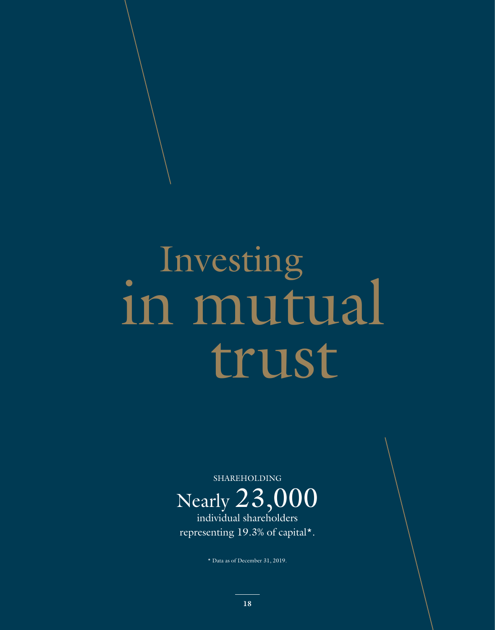# Investing in mutual



individual shareholders representing 19.3% of capital\*.

\* Data as of December 31, 2019.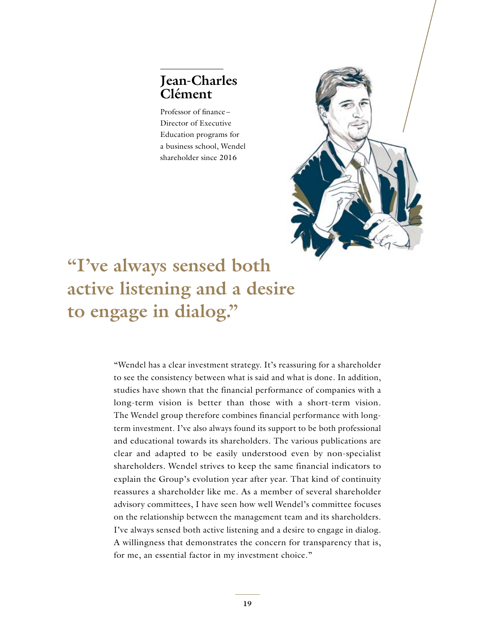## **Jean-Charles Clément**

Professor of finance – Director of Executive Education programs for a business school, Wendel shareholder since 2016



# **"I've always sensed both active listening and a desire to engage in dialog."**

"Wendel has a clear investment strategy. It's reassuring for a shareholder to see the consistency between what is said and what is done. In addition, studies have shown that the financial performance of companies with a long-term vision is better than those with a short-term vision. The Wendel group therefore combines financial performance with longterm investment. I've also always found its support to be both professional and educational towards its shareholders. The various publications are clear and adapted to be easily understood even by non-specialist shareholders. Wendel strives to keep the same financial indicators to explain the Group's evolution year after year. That kind of continuity reassures a shareholder like me. As a member of several shareholder advisory committees, I have seen how well Wendel's committee focuses on the relationship between the management team and its shareholders. I've always sensed both active listening and a desire to engage in dialog. A willingness that demonstrates the concern for transparency that is, for me, an essential factor in my investment choice."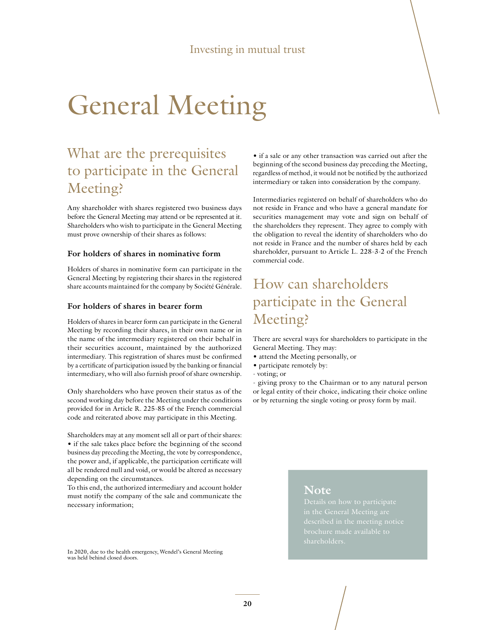# General Meeting

# What are the prerequisites to participate in the General Meeting?

Any shareholder with shares registered two business days before the General Meeting may attend or be represented at it. Shareholders who wish to participate in the General Meeting must prove ownership of their shares as follows:

#### **For holders of shares in nominative form**

Holders of shares in nominative form can participate in the General Meeting by registering their shares in the registered share accounts maintained for the company by Société Générale.

#### **For holders of shares in bearer form**

Holders of shares in bearer form can participate in the General Meeting by recording their shares, in their own name or in the name of the intermediary registered on their behalf in their securities account, maintained by the authorized intermediary. This registration of shares must be confirmed by a certificate of participation issued by the banking or financial intermediary, who will also furnish proof of share ownership.

Only shareholders who have proven their status as of the second working day before the Meeting under the conditions provided for in Article R. 225-85 of the French commercial code and reiterated above may participate in this Meeting.

Shareholders may at any moment sell all or part of their shares: • if the sale takes place before the beginning of the second business day preceding the Meeting, the vote by correspondence, the power and, if applicable, the participation certificate will all be rendered null and void, or would be altered as necessary depending on the circumstances.

To this end, the authorized intermediary and account holder must notify the company of the sale and communicate the necessary information;

In 2020, due to the health emergency, Wendel's General Meeting was held behind closed doors.

• if a sale or any other transaction was carried out after the beginning of the second business day preceding the Meeting, regardless of method, it would not be notified by the authorized intermediary or taken into consideration by the company.

Intermediaries registered on behalf of shareholders who do not reside in France and who have a general mandate for securities management may vote and sign on behalf of the shareholders they represent. They agree to comply with the obligation to reveal the identity of shareholders who do not reside in France and the number of shares held by each shareholder, pursuant to Article L. 228-3-2 of the French commercial code.

# How can shareholders participate in the General Meeting?

There are several ways for shareholders to participate in the General Meeting. They may:

- attend the Meeting personally, or
- participate remotely by:
- voting; or

- giving proxy to the Chairman or to any natural person or legal entity of their choice, indicating their choice online or by returning the single voting or proxy form by mail.

#### **Note**

Details on how to participate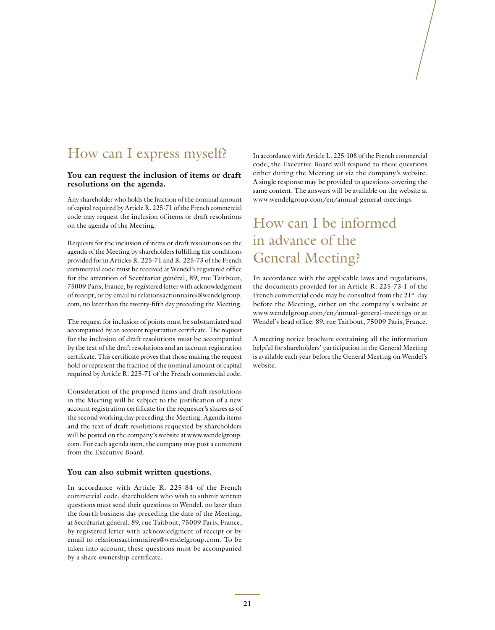## How can I express myself?

#### **You can request the inclusion of items or draft resolutions on the agenda.**

Any shareholder who holds the fraction of the nominal amount of capital required by Article R. 225-71 of the French commercial code may request the inclusion of items or draft resolutions on the agenda of the Meeting.

Requests for the inclusion of items or draft resolutions on the agenda of the Meeting by shareholders fulfilling the conditions provided for in Articles R. 225-71 and R. 225-73 of the French commercial code must be received at Wendel's registered office for the attention of Secrétariat général, 89, rue Taitbout, 75009 Paris, France, by registered letter with acknowledgment of receipt, or by email to relationsactionnaires@wendelgroup. com, no later than the twenty-fifth day preceding the Meeting.

The request for inclusion of points must be substantiated and accompanied by an account registration certificate. The request for the inclusion of draft resolutions must be accompanied by the text of the draft resolutions and an account registration certificate. This certificate proves that those making the request hold or represent the fraction of the nominal amount of capital required by Article R. 225-71 of the French commercial code.

Consideration of the proposed items and draft resolutions in the Meeting will be subject to the justification of a new account registration certificate for the requester's shares as of the second working day preceding the Meeting. Agenda items and the text of draft resolutions requested by shareholders will be posted on the company's website at www.wendelgroup. com. For each agenda item, the company may post a comment from the Executive Board.

#### **You can also submit written questions.**

In accordance with Article R. 225-84 of the French commercial code, shareholders who wish to submit written questions must send their questions to Wendel, no later than the fourth business day preceding the date of the Meeting, at Secrétariat général, 89, rue Taitbout, 75009 Paris, France, by registered letter with acknowledgment of receipt or by email to relationsactionnaires@wendelgroup.com. To be taken into account, these questions must be accompanied by a share ownership certificate.

In accordance with Article L. 225-108 of the French commercial code, the Executive Board will respond to these questions either during the Meeting or via the company's website. A single response may be provided to questions covering the same content. The answers will be available on the website at [www.wendelgroup.com/en/annual-general-meetings](https://www.wendelgroup.com/en/annual-general-meetings).

# How can I be informed in advance of the General Meeting?

In accordance with the applicable laws and regulations, the documents provided for in Article R. 225-73-1 of the French commercial code may be consulted from the  $21^{st}$  day before the Meeting, either on the company's website at www.wendelgroup.com/en/annual-general-meetings or at Wendel's head office: 89, rue Taitbout, 75009 Paris, France.

A meeting notice brochure containing all the information helpful for shareholders' participation in the General Meeting is available each year before the General Meeting on Wendel's website.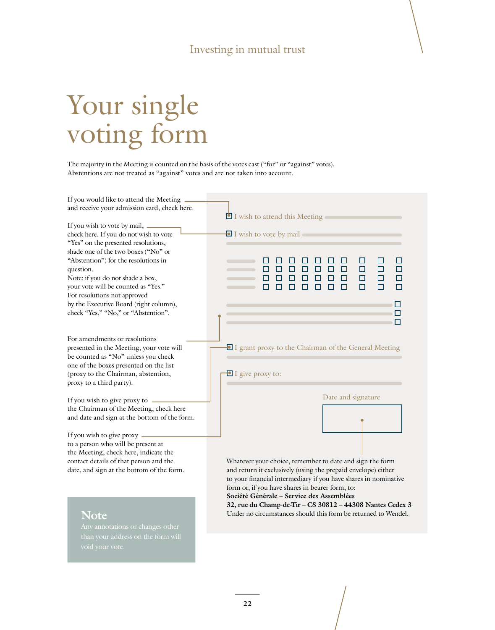### Investing in mutual trust

# Your single voting form

The majority in the Meeting is counted on the basis of the votes cast ("for" or "against" votes). Abstentions are not treated as "against" votes and are not taken into account.

| If you would like to attend the Meeting _<br>and receive your admission card, check here.                                                                                                                                     | I wish to attend this Meeting                                                                                                                                                                                                                                                                                                                                   |
|-------------------------------------------------------------------------------------------------------------------------------------------------------------------------------------------------------------------------------|-----------------------------------------------------------------------------------------------------------------------------------------------------------------------------------------------------------------------------------------------------------------------------------------------------------------------------------------------------------------|
| If you wish to vote by mail, _______<br>check here. If you do not wish to vote<br>"Yes" on the presented resolutions,                                                                                                         | I wish to vote by mail                                                                                                                                                                                                                                                                                                                                          |
| shade one of the two boxes ("No" or<br>"Abstention") for the resolutions in<br>question.<br>Note: if you do not shade a box,<br>your vote will be counted as "Yes."<br>For resolutions not approved                           | ш<br>$\Box$<br>□<br>П<br>O<br>□<br>$\Box$<br>$\Box$<br>$\Box$<br>□<br>$\Box$<br>П<br>□<br>$\blacksquare$<br>П<br>п<br>П<br>П                                                                                                                                                                                                                                    |
| by the Executive Board (right column),<br>check "Yes," "No," or "Abstention".                                                                                                                                                 | П<br>П                                                                                                                                                                                                                                                                                                                                                          |
| For amendments or resolutions<br>presented in the Meeting, your vote will<br>be counted as "No" unless you check<br>one of the boxes presented on the list<br>(proxy to the Chairman, abstention,<br>proxy to a third party). | I grant proxy to the Chairman of the General Meeting<br>$\blacksquare$ I give proxy to:                                                                                                                                                                                                                                                                         |
| If you wish to give proxy to -                                                                                                                                                                                                | Date and signature                                                                                                                                                                                                                                                                                                                                              |
| the Chairman of the Meeting, check here<br>and date and sign at the bottom of the form.                                                                                                                                       |                                                                                                                                                                                                                                                                                                                                                                 |
| If you wish to give proxy —<br>to a person who will be present at<br>the Meeting, check here, indicate the<br>contact details of that person and the                                                                          | Whatever your choice, remember to date and sign the form                                                                                                                                                                                                                                                                                                        |
| date, and sign at the bottom of the form.<br><b>Note</b>                                                                                                                                                                      | and return it exclusively (using the prepaid envelope) either<br>to your financial intermediary if you have shares in nominative<br>form or, if you have shares in bearer form, to:<br>Société Générale - Service des Assemblées<br>32, rue du Champ-de-Tir - CS 30812 - 44308 Nantes Cedex 3<br>Under no circumstances should this form be returned to Wendel. |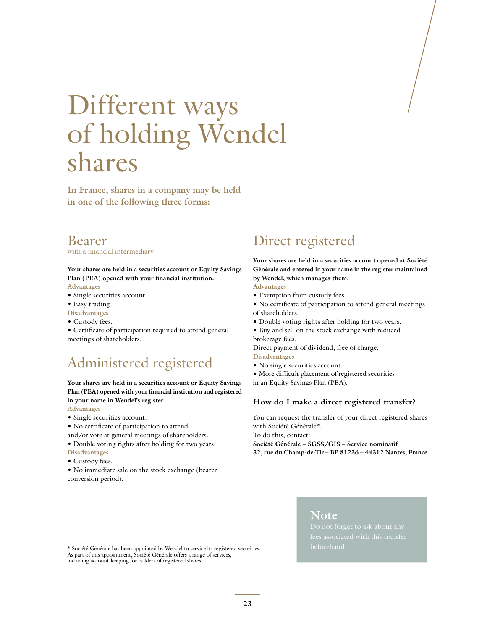# Different ways of holding Wendel shares

**In France, shares in a company may be held in one of the following three forms:**

#### Bearer with a financial intermediary

**Your shares are held in a securities account or Equity Savings Plan (PEA) opened with your financial institution.**

**Advantages**

- Single securities account.
- Easy trading.
- **Disadvantages**
- Custody fees.

• Certificate of participation required to attend general meetings of shareholders.

## Administered registered

#### **Your shares are held in a securities account or Equity Savings Plan (PEA) opened with your financial institution and registered in your name in Wendel's register.**

**Advantages**

- Single securities account.
- No certificate of participation to attend
- and/or vote at general meetings of shareholders.
- Double voting rights after holding for two years. **Disadvantages**
- Custody fees.
- No immediate sale on the stock exchange (bearer conversion period).

# Direct registered

**Your shares are held in a securities account opened at Société Générale and entered in your name in the register maintained by Wendel, which manages them.**

- **Advantages**
- Exemption from custody fees.
- No certificate of participation to attend general meetings of shareholders.
- Double voting rights after holding for two years.
- Buy and sell on the stock exchange with reduced brokerage fees.

Direct payment of dividend, free of charge.

**Disadvantages**

- No single securities account.
- More difficult placement of registered securities
- in an Equity Savings Plan (PEA).

#### **How do I make a direct registered transfer?**

You can request the transfer of your direct registered shares with Société Générale\*.

To do this, contact:

**Société Générale – SGSS/GIS – Service nominatif**

**32, rue du Champ-de-Tir – BP 81236 – 44312 Nantes, France**

beforehand. \* Société Générale has been appointed by Wendel to service its registered securities. As part of this appointment, Société Générale offers a range of services, including account-keeping for holders of registered shares.

#### **Note**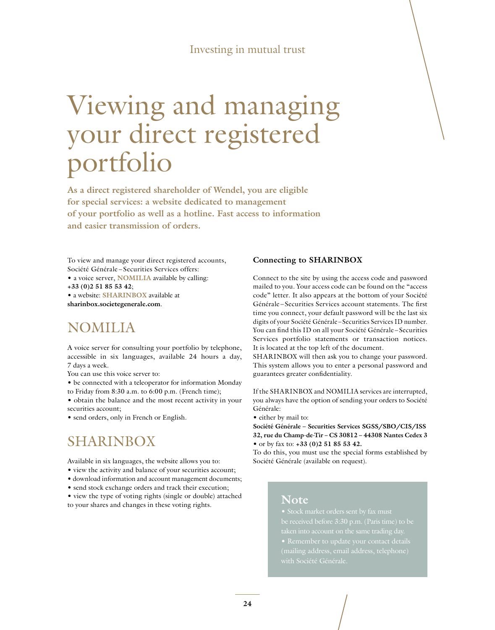#### Investing in mutual trust

# Viewing and managing your direct registered portfolio

**As a direct registered shareholder of Wendel, you are eligible for special services: a website dedicated to management of your portfolio as well as a hotline. Fast access to information and easier transmission of orders.**

To view and manage your direct registered accounts, Société Générale – Securities Services offers:

• a voice server, **NOMILIA** available by calling:

**+33 (0)2 51 85 53 42**;

• a website: **SHARINBOX** available at **sharinbox.societegenerale.com**.

## NOMILIA

A voice server for consulting your portfolio by telephone, accessible in six languages, available 24 hours a day, 7 days a week.

You can use this voice server to:

• be connected with a teleoperator for information Monday to Friday from 8:30 a.m. to 6:00 p.m. (French time);

• obtain the balance and the most recent activity in your securities account;

• send orders, only in French or English.

## SHARINBOX

Available in six languages, the website allows you to:

- view the activity and balance of your securities account;
- download information and account management documents;
- send stock exchange orders and track their execution;
- view the type of voting rights (single or double) attached to your shares and changes in these voting rights.

#### **Connecting to SHARINBOX**

Connect to the site by using the access code and password mailed to you. Your access code can be found on the "access code" letter. It also appears at the bottom of your Société Générale – Securities Services account statements. The first time you connect, your default password will be the last six digits of your Société Générale – Securities Services ID number. You can find this ID on all your Société Générale – Securities Services portfolio statements or transaction notices. It is located at the top left of the document.

SHARINBOX will then ask you to change your password. This system allows you to enter a personal password and guarantees greater confidentiality.

If the SHARINBOX and NOMILIA services are interrupted, you always have the option of sending your orders to Société Générale:

• either by mail to:

**Société Générale – Securities Services SGSS/SBO/CIS/ISS 32, rue du Champ-de-Tir – CS 30812 – 44308 Nantes Cedex 3**  • or by fax to: **+33 (0)2 51 85 53 42.**

To do this, you must use the special forms established by Société Générale (available on request).

#### **Note**

taken into account on the same trading day. with Société Générale.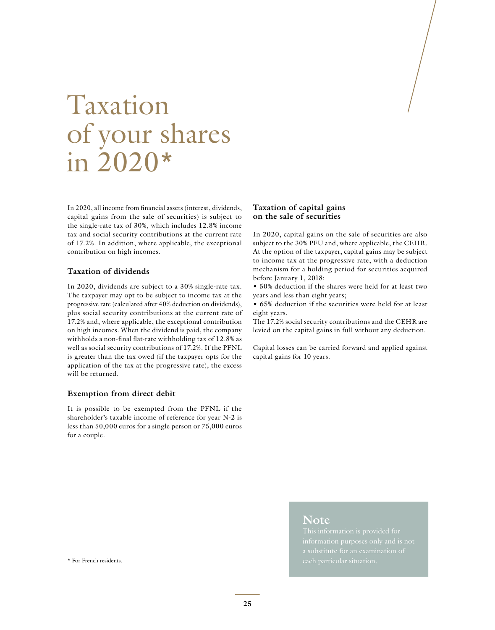# Taxation of your shares in 2020\*

In 2020, all income from financial assets (interest, dividends, capital gains from the sale of securities) is subject to the single-rate tax of 30%, which includes 12.8% income tax and social security contributions at the current rate of 17.2%. In addition, where applicable, the exceptional contribution on high incomes.

#### **Taxation of dividends**

In 2020, dividends are subject to a 30% single-rate tax. The taxpayer may opt to be subject to income tax at the progressive rate (calculated after 40% deduction on dividends), plus social security contributions at the current rate of 17.2% and, where applicable, the exceptional contribution on high incomes. When the dividend is paid, the company withholds a non-final flat-rate withholding tax of 12.8% as well as social security contributions of 17.2%. If the PFNL is greater than the tax owed (if the taxpayer opts for the application of the tax at the progressive rate), the excess will be returned.

#### **Exemption from direct debit**

It is possible to be exempted from the PFNL if the shareholder's taxable income of reference for year N-2 is less than 50,000 euros for a single person or 75,000 euros for a couple.

#### **Taxation of capital gains on the sale of securities**

In 2020, capital gains on the sale of securities are also subject to the 30% PFU and, where applicable, the CEHR. At the option of the taxpayer, capital gains may be subject to income tax at the progressive rate, with a deduction mechanism for a holding period for securities acquired before January 1, 2018:

• 50% deduction if the shares were held for at least two years and less than eight years;

• 65% deduction if the securities were held for at least eight years.

The 17.2% social security contributions and the CEHR are levied on the capital gains in full without any deduction.

Capital losses can be carried forward and applied against capital gains for 10 years.

#### **Note**

\* For French residents.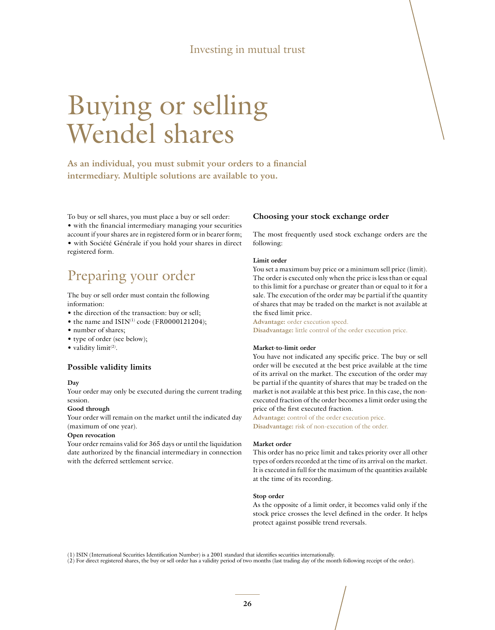#### Investing in mutual trust

# Buying or selling Wendel shares

**As an individual, you must submit your orders to a financial intermediary. Multiple solutions are available to you.**

To buy or sell shares, you must place a buy or sell order: • with the financial intermediary managing your securities account if your shares are in registered form or in bearer form; • with Société Générale if you hold your shares in direct registered form.

# Preparing your order

The buy or sell order must contain the following information:

- the direction of the transaction: buy or sell;
- the name and ISIN<sup>(1)</sup> code (FR0000121204);
- number of shares;
- type of order (see below);
- $\bullet$  validity limit<sup>(2)</sup>.

#### **Possible validity limits**

#### **Day**

Your order may only be executed during the current trading session.

#### **Good through**

Your order will remain on the market until the indicated day (maximum of one year).

#### **Open revocation**

Your order remains valid for 365 days or until the liquidation date authorized by the financial intermediary in connection with the deferred settlement service.

#### **Choosing your stock exchange order**

The most frequently used stock exchange orders are the following:

#### **Limit order**

You set a maximum buy price or a minimum sell price (limit). The order is executed only when the price is less than or equal to this limit for a purchase or greater than or equal to it for a sale. The execution of the order may be partial if the quantity of shares that may be traded on the market is not available at the fixed limit price.

**Advantage:** order execution speed. **Disadvantage:** little control of the order execution price.

#### **Market-to-limit order**

You have not indicated any specific price. The buy or sell order will be executed at the best price available at the time of its arrival on the market. The execution of the order may be partial if the quantity of shares that may be traded on the market is not available at this best price. In this case, the nonexecuted fraction of the order becomes a limit order using the price of the first executed fraction.

**Advantage:** control of the order execution price. **Disadvantage:** risk of non-execution of the order.

#### **Market order**

This order has no price limit and takes priority over all other types of orders recorded at the time of its arrival on the market. It is executed in full for the maximum of the quantities available at the time of its recording.

#### **Stop order**

As the opposite of a limit order, it becomes valid only if the stock price crosses the level defined in the order. It helps protect against possible trend reversals.

(1) ISIN (International Securities Identification Number) is a 2001 standard that identifies securities internationally.

(2) For direct registered shares, the buy or sell order has a validity period of two months (last trading day of the month following receipt of the order).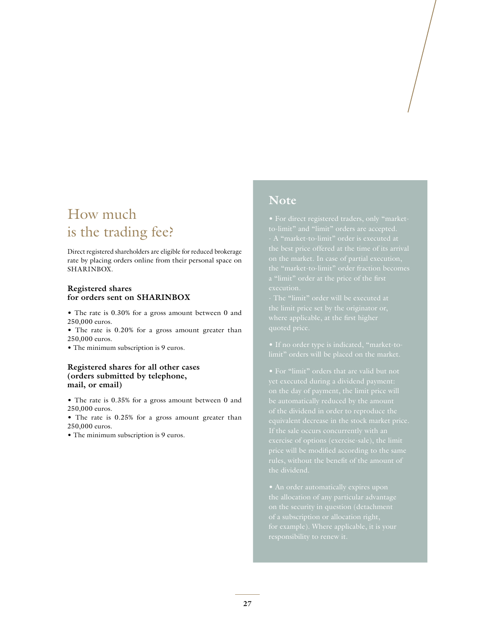# How much is the trading fee?

Direct registered shareholders are eligible for reduced brokerage rate by placing orders online from their personal space on SHARINBOX.

#### **Registered shares for orders sent on SHARINBOX**

• The rate is 0.30% for a gross amount between 0 and 250,000 euros.

• The rate is 0.20% for a gross amount greater than 250,000 euros.

• The minimum subscription is 9 euros.

#### **Registered shares for all other cases (orders submitted by telephone, mail, or email)**

• The rate is 0.35% for a gross amount between 0 and 250,000 euros.

• The rate is 0.25% for a gross amount greater than 250,000 euros.

• The minimum subscription is 9 euros.

#### **Note**

execution.

yet executed during a dividend payment: be automatically reduced by the amount